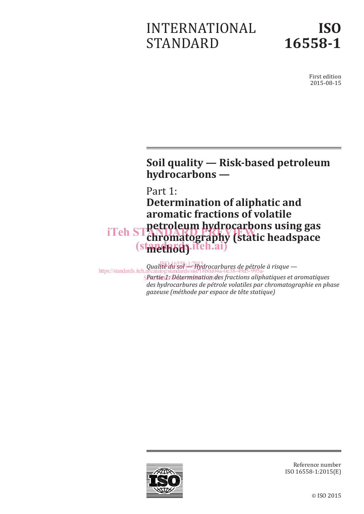# INTERNATIONAL STANDARD

# **ISO 16558-1**

First edition 2015-08-15

## **Soil quality — Risk-based petroleum hydrocarbons —**

Part 1:

### **Determination of aliphatic and aromatic fractions of volatile petroleum hydrocarbons using gas chromatography (static headspace**  (standards.iteh.ai) iTeh STANDARD Print USAL

*Qualité du sol — Hydrocarbures de pétrole à risque —* ISO 16558-1:2015 5 Partie 13 Détermination des fractions aliphatiques et aromatiques https://standards.iteh.ai/catalog/standards/sist/18b0a04a-0e38-49a5-995a-

*des hydrocarbures de pétrole volatiles par chromatographie en phase gazeuse (méthode par espace de tête statique)*



Reference number ISO 16558-1:2015(E)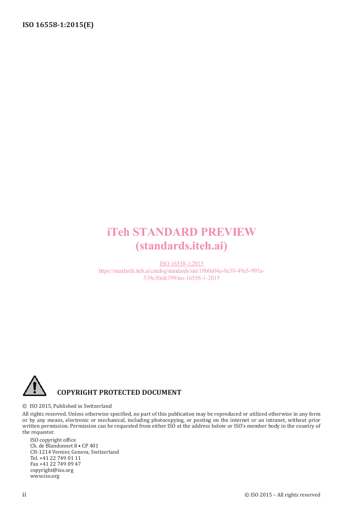## iTeh STANDARD PREVIEW (standards.iteh.ai)

ISO 16558-1:2015 https://standards.iteh.ai/catalog/standards/sist/18b0a04a-0e38-49a5-995a-539c30efe399/iso-16558-1-2015



© ISO 2015, Published in Switzerland

All rights reserved. Unless otherwise specified, no part of this publication may be reproduced or utilized otherwise in any form or by any means, electronic or mechanical, including photocopying, or posting on the internet or an intranet, without prior written permission. Permission can be requested from either ISO at the address below or ISO's member body in the country of the requester.

ISO copyright office Ch. de Blandonnet 8 • CP 401 CH-1214 Vernier, Geneva, Switzerland Tel. +41 22 749 01 11 Fax +41 22 749 09 47 copyright@iso.org www.iso.org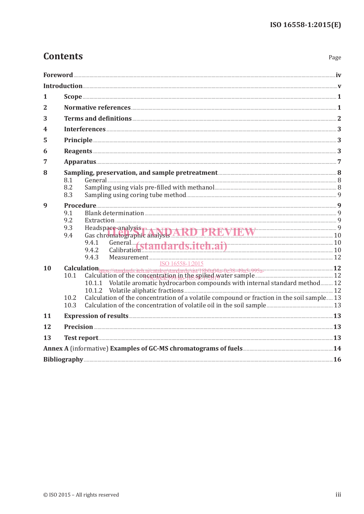Page

## **Contents**

| 1                                                                                                                                                                                                                                    |  |  |  |
|--------------------------------------------------------------------------------------------------------------------------------------------------------------------------------------------------------------------------------------|--|--|--|
| 2                                                                                                                                                                                                                                    |  |  |  |
| 3                                                                                                                                                                                                                                    |  |  |  |
| 4                                                                                                                                                                                                                                    |  |  |  |
| Principle 3<br>5                                                                                                                                                                                                                     |  |  |  |
| 6                                                                                                                                                                                                                                    |  |  |  |
| 7                                                                                                                                                                                                                                    |  |  |  |
| 8<br>8.1<br>8.2<br>8.3                                                                                                                                                                                                               |  |  |  |
| 9<br>9.1<br>9.2<br>Headspace-analysis<br>Gas chromatographic analysis<br>ARD PREVIEW 10<br>9.3<br>9.4<br>General Calibration Standards.itch.ai) 30<br>9.4.1<br>9.4.2<br>9.4.3                                                        |  |  |  |
| ISO 16558-1:2015<br>10<br>10.1<br>10.1.1 Volatile aromatic hydrocarbon compounds with internal standard method12<br>Calculation of the concentration of a volatile compound or fraction in the soil sample 13<br>10.2<br>10.3        |  |  |  |
| <b>11</b>                                                                                                                                                                                                                            |  |  |  |
| Precision 23 Apr 2012 13 Apr 2012 13 Apr 2012 14 Apr 2012 14 Apr 2013 14 Apr 2014 15 Apr 2014 15 Apr 2014 15 Apr 2014 15 Apr 2014 15 Apr 2014 15 Apr 2014 15 Apr 2014 15 Apr 2014 15 Apr 2014 16:00 16:00 16:00 16:00 16:00 16<br>12 |  |  |  |
| 13                                                                                                                                                                                                                                   |  |  |  |
|                                                                                                                                                                                                                                      |  |  |  |
|                                                                                                                                                                                                                                      |  |  |  |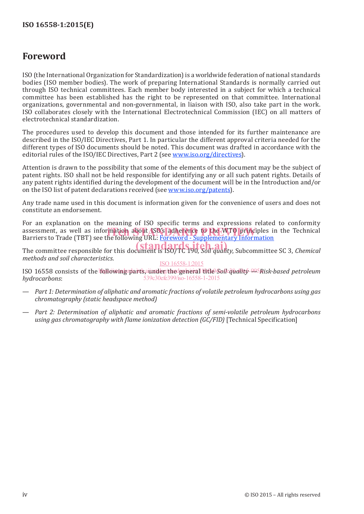### **Foreword**

ISO (the International Organization for Standardization) is a worldwide federation of national standards bodies (ISO member bodies). The work of preparing International Standards is normally carried out through ISO technical committees. Each member body interested in a subject for which a technical committee has been established has the right to be represented on that committee. International organizations, governmental and non-governmental, in liaison with ISO, also take part in the work. ISO collaborates closely with the International Electrotechnical Commission (IEC) on all matters of electrotechnical standardization.

The procedures used to develop this document and those intended for its further maintenance are described in the ISO/IEC Directives, Part 1. In particular the different approval criteria needed for the different types of ISO documents should be noted. This document was drafted in accordance with the editorial rules of the ISO/IEC Directives, Part 2 (see www.iso.org/directives).

Attention is drawn to the possibility that some of the elements of this document may be the subject of patent rights. ISO shall not be held responsible for identifying any or all such patent rights. Details of any patent rights identified during the development of the document will be in the Introduction and/or on the ISO list of patent declarations received (see www.iso.org/patents).

Any trade name used in this document is information given for the convenience of users and does not constitute an endorsement.

For an explanation on the meaning of ISO specific terms and expressions related to conformity assessment, as well as information about ISO's adherence to the WTO principles in the Technical<br>Barriers to Trade (TBT) see the following URL: Foreword - Supplementary Information Barriers to Trade (TBT) see the following URL: Foreword - Supplementary Information

The committee responsible for this document is ISO/TC 190, *Soil quality*, Subcommittee SC 3, *Chemical* **Channel (standards)** *methods and soil characteristics*.

#### ISO 16558-1:2015

ISO 16558 consists of the following parts, under the general title *Soil quality <sup>995</sup>Risk-based petroleum hydrocarbons*: 539c30efe399/iso-16558-1-2015

- *Part 1: Determination of aliphatic and aromatic fractions of volatile petroleum hydrocarbons using gas chromatography (static headspace method)*
- *Part 2: Determination of aliphatic and aromatic fractions of semi-volatile petroleum hydrocarbons using gas chromatography with flame ionization detection (GC/FID)* [Technical Specification]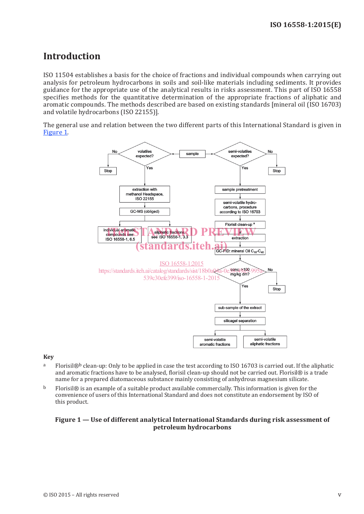## **Introduction**

ISO 11504 establishes a basis for the choice of fractions and individual compounds when carrying out analysis for petroleum hydrocarbons in soils and soil-like materials including sediments. It provides guidance for the appropriate use of the analytical results in risks assessment. This part of ISO 16558 specifies methods for the quantitative determination of the appropriate fractions of aliphatic and aromatic compounds. The methods described are based on existing standards [mineral oil (ISO 16703) and volatile hydrocarbons (ISO 22155)].

The general use and relation between the two different parts of this International Standard is given in Figure 1.



#### **Key**

- a Florisil®b clean-up: Only to be applied in case the test according to ISO 16703 is carried out. If the aliphatic and aromatic fractions have to be analysed, florisil clean-up should not be carried out. Florisil® is a trade name for a prepared diatomaceous substance mainly consisting of anhydrous magnesium silicate.
- b Florisil® is an example of a suitable product available commercially. This information is given for the convenience of users of this International Standard and does not constitute an endorsement by ISO of this product.

#### **Figure 1 — Use of different analytical International Standards during risk assessment of petroleum hydrocarbons**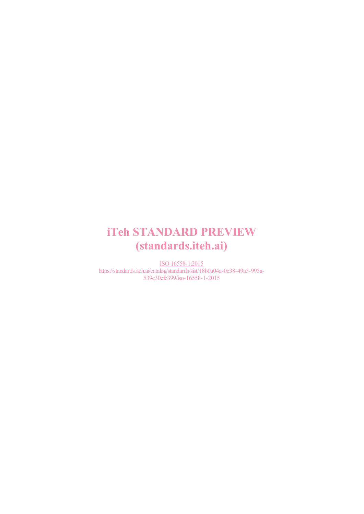## iTeh STANDARD PREVIEW (standards.iteh.ai)

ISO 16558-1:2015 https://standards.iteh.ai/catalog/standards/sist/18b0a04a-0e38-49a5-995a-539c30efe399/iso-16558-1-2015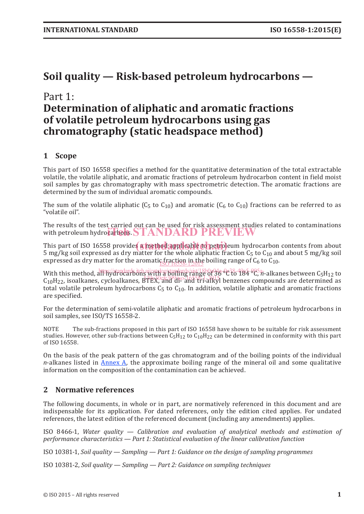## **Soil quality — Risk-based petroleum hydrocarbons —**

## Part 1: **Determination of aliphatic and aromatic fractions of volatile petroleum hydrocarbons using gas chromatography (static headspace method)**

#### **1 Scope**

This part of ISO 16558 specifies a method for the quantitative determination of the total extractable volatile, the volatile aliphatic, and aromatic fractions of petroleum hydrocarbon content in field moist soil samples by gas chromatography with mass spectrometric detection. The aromatic fractions are determined by the sum of individual aromatic compounds.

The sum of the volatile aliphatic ( $C_5$  to  $C_{10}$ ) and aromatic ( $C_6$  to  $C_{10}$ ) fractions can be referred to as "volatile oil".

The results of the test carried out can be used for risk assessment studies related to contaminations with petroleum hydrocarbons. STANDARD PREVIEW

This part of ISO 16558 provides a method applicable to petroleum hydrocarbon contents from about  $\mathbb{F}_p$  mg/kg soil 5 mg/kg soil expressed as dry matter for the whole aliphatic fraction  $C_5$  to  $C_{10}$  and about 5 mg/kg soil expressed as dry matter for the aromatic traction in the boiling range of C<sub>6</sub> to C<sub>10</sub>.

With this method, all hydrocarbons with a boiling range of 36 %  $\frac{18}{2}$  %  $\frac{36}{2}$  %,  $\frac{36}{2}$  alkanes between C<sub>5</sub>H<sub>12</sub> to  $C_{10}H_{22}$ , isoalkanes, cycloalkanes, BTEX, and di- and tri-alkyl benzenes compounds are determined as total volatile petroleum hydrocarbons  $C_5$  to  $C_{10}$ . In addition, volatile aliphatic and aromatic fractions are specified.

For the determination of semi-volatile aliphatic and aromatic fractions of petroleum hydrocarbons in soil samples, see ISO/TS 16558-2.

NOTE The sub-fractions proposed in this part of ISO 16558 have shown to be suitable for risk assessment studies. However, other sub-fractions between  $C_5H_{12}$  to  $C_{10}H_{22}$  can be determined in conformity with this part of ISO 16558.

On the basis of the peak pattern of the gas chromatogram and of the boiling points of the individual *n*-alkanes listed in Annex A, the approximate boiling range of the mineral oil and some qualitative information on the composition of the contamination can be achieved.

#### **2 Normative references**

The following documents, in whole or in part, are normatively referenced in this document and are indispensable for its application. For dated references, only the edition cited applies. For undated references, the latest edition of the referenced document (including any amendments) applies.

ISO 8466-1, *Water quality — Calibration and evaluation of analytical methods and estimation of performance characteristics — Part 1: Statistical evaluation of the linear calibration function*

ISO 10381-1, *Soil quality — Sampling — Part 1: Guidance on the design of sampling programmes*

ISO 10381-2, *Soil quality — Sampling — Part 2: Guidance on sampling techniques*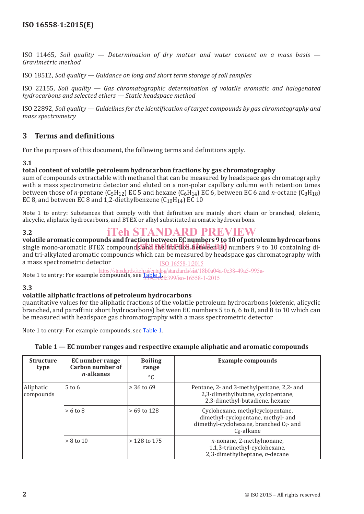ISO 11465, *Soil quality — Determination of dry matter and water content on a mass basis — Gravimetric method*

ISO 18512, *Soil quality — Guidance on long and short term storage of soil samples*

ISO 22155, *Soil quality — Gas chromatographic determination of volatile aromatic and halogenated hydrocarbons and selected ethers — Static headspace method*

ISO 22892, *Soil quality — Guidelines for the identification of target compounds by gas chromatography and mass spectrometry*

#### **3 Terms and definitions**

For the purposes of this document, the following terms and definitions apply.

#### **3.1**

#### **total content of volatile petroleum hydrocarbon fractions by gas chromatography**

sum of compounds extractable with methanol that can be measured by headspace gas chromatography with a mass spectrometric detector and eluted on a non-polar capillary column with retention times between those of *n*-pentane  $(C_5H_{12})$  EC 5 and hexane  $(C_6H_{14})$  EC 6, between EC 6 and *n*-octane  $(C_8H_{18})$ EC 8, and between EC 8 and 1,2-diethylbenzene  $(C_{10}H_{14})$  EC 10

Note 1 to entry: Substances that comply with that definition are mainly short chain or branched, olefenic, alicyclic, aliphatic hydrocarbons, and BTEX or alkyl substituted aromatic hydrocarbons.

#### **3.2**

## iTeh STANDARD PREVIEW

**volatile aromatic compounds and fraction between EC numbers 9 to 10 of petroleum hydrocarbons** volatile aromatic compounds and fraction between EC numbers 9 to 10 of petroleum hydrocarbons<br>single mono-aromatic BTEX compounds and the fraction. Letween EQ numbers 9 to 10 containing diand tri-alkylated aromatic compounds which can be measured by headspace gas chromatography with a mass spectrometric detector ISO 16558-1:2015

Note 1 to entry: For example compounds, see <u>Table 1.</u> https://standards.iteh.ai/catalog/standards/sist/18b0a04a-0e38-49a5-995a-**Fable d**efe399/iso-16558-1-2015

#### **3.3**

#### **volatile aliphatic fractions of petroleum hydrocarbons**

quantitative values for the aliphatic fractions of the volatile petroleum hydrocarbons (olefenic, alicyclic branched, and paraffinic short hydrocarbons) between EC numbers 5 to 6, 6 to 8, and 8 to 10 which can be measured with headspace gas chromatography with a mass spectrometric detector

Note 1 to entry: For example compounds, see Table 1.

| <b>Structure</b><br>type | EC number range<br>Carbon number of<br><i>n</i> -alkanes | <b>Boiling</b><br>range<br>$^{\circ}C$ | <b>Example compounds</b>                                                                                                                       |
|--------------------------|----------------------------------------------------------|----------------------------------------|------------------------------------------------------------------------------------------------------------------------------------------------|
| Aliphatic<br>compounds   | $5$ to 6                                                 | $\geq$ 36 to 69                        | Pentane, 2- and 3-methylpentane, 2,2- and<br>2,3-dimethylbutane, cyclopentane,<br>2,3-dimethyl-butadiene, hexane                               |
|                          | $> 6$ to 8                                               | $>69$ to 128                           | Cyclohexane, methylcyclopentane,<br>dimethyl-cyclopentane, methyl- and<br>dimethyl-cyclohexane, branched C <sub>7</sub> - and<br>$C_8$ -alkane |
|                          | $> 8$ to 10                                              | $>128$ to 175                          | <i>n</i> -nonane, 2-methylnonane,<br>1,1,3-trimethyl-cyclohexane,<br>2,3-dimethylheptane, $n$ -decane                                          |

#### **Table 1 — EC number ranges and respective example aliphatic and aromatic compounds**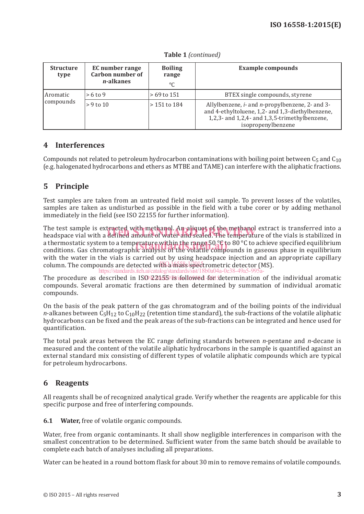| <b>Structure</b><br>type     | EC number range<br><b>Carbon number of</b><br><i>n</i> -alkanes | <b>Boiling</b><br>range<br>$\rm ^{\circ}C$ | <b>Example compounds</b>                                                                                                                                                                   |
|------------------------------|-----------------------------------------------------------------|--------------------------------------------|--------------------------------------------------------------------------------------------------------------------------------------------------------------------------------------------|
| <i>Aromatic</i><br>compounds | $> 6$ to 9                                                      | $>69$ to 151                               | BTEX single compounds, styrene                                                                                                                                                             |
|                              | $> 9$ to 10                                                     | $> 151$ to 184                             | Allylbenzene, <i>i</i> - and <i>n</i> -propylbenzene, 2- and 3-<br>and 4-ethyltoluene, 1,2- and 1,3-diethylbenzene,<br>1,2,3- and 1,2,4- and 1,3,5-trimethylbenzene,<br>isopropenylbenzene |

**Table 1** *(continued)*

#### **4 Interferences**

Compounds not related to petroleum hydrocarbon contaminations with boiling point between  $C_5$  and  $C_{10}$ (e.g. halogenated hydrocarbons and ethers as MTBE and TAME) can interfere with the aliphatic fractions.

### **5 Principle**

Test samples are taken from an untreated field moist soil sample. To prevent losses of the volatiles, samples are taken as undisturbed as possible in the field with a tube corer or by adding methanol immediately in the field (see ISO 22155 for further information).

The test sample is extracted with methanol. An aliquot of the methanol extract is transferred into a The test sample is extracted with methanol. An aliquot of the methanol extract is transferred into a<br>headspace vial with a defined amount of water and sealed. The temperature of the vials is stabilized in a thermostatic system to a temperature within the range 50 °C to 80 °C to achieve specified equilibrium<br>conditions. Gas chromatographic analysis of the volatile compounds in gaseous phase in equilibrium conditions. Gas chromatographic analysis of the volatile compounds in gaseous phase in equilibrium with the water in the vials is carried out by using headspace injection and an appropriate capillary column. The compounds are detected with a mass spectrometric detector (MS). https://standards.iteh.ai/catalog/standards/sist/18b0a04a-0e3

The procedure as described in ISO 2215599 is followed for determination of the individual aromatic compounds. Several aromatic fractions are then determined by summation of individual aromatic compounds.

On the basis of the peak pattern of the gas chromatogram and of the boiling points of the individual *n*-alkanes between  $C_5H_{12}$  to  $C_{10}H_{22}$  (retention time standard), the sub-fractions of the volatile aliphatic hydrocarbons can be fixed and the peak areas of the sub-fractions can be integrated and hence used for quantification.

The total peak areas between the EC range defining standards between *n*-pentane and *n*-decane is measured and the content of the volatile aliphatic hydrocarbons in the sample is quantified against an external standard mix consisting of different types of volatile aliphatic compounds which are typical for petroleum hydrocarbons.

#### **6 Reagents**

All reagents shall be of recognized analytical grade. Verify whether the reagents are applicable for this specific purpose and free of interfering compounds.

#### **6.1 Water,** free of volatile organic compounds.

Water, free from organic contaminants. It shall show negligible interferences in comparison with the smallest concentration to be determined. Sufficient water from the same batch should be available to complete each batch of analyses including all preparations.

Water can be heated in a round bottom flask for about 30 min to remove remains of volatile compounds.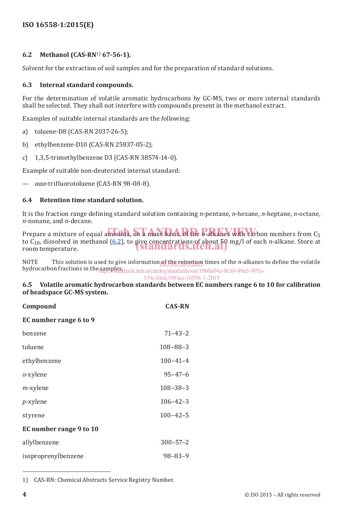#### **6.2 Methanol (CAS-RN**1) **67-56-1).**

Solvent for the extraction of soil samples and for the preparation of standard solutions.

#### **6.3 Internal standard compounds.**

For the determination of volatile aromatic hydrocarbons by GC-MS, two or more internal standards shall be selected. They shall not interfere with compounds present in the methanol extract.

Examples of suitable internal standards are the following:

- a) toluene-D8 (CAS-RN 2037-26-5);
- b) ethylbenzene-D10 (CAS-RN 25837-05-2);
- c) 1,3,5-trimethylbenzene D3 (CAS-RN 38574-14-0).

Example of suitable non-deuterated internal standard:

— *ααα*-trifluorotoluene (CAS-RN 98-08-8).

#### **6.4 Retention time standard solution.**

It is the fraction range defining standard solution containing *n*-pentane, *n*-hexane, *n*-heptane, *n*-octane, *n*-nonane, and *n*-decane.

Prepare a mixture of equal amounts, on a mass basis, of the *n*-alkanes with carbon numbers from C<sub>5</sub> to C<sub>10</sub>, dissolved in methanol <u>(6.2</u>), to give concentrations of about 50 mg/l of each *n*-alkane. Store at **CO** room temperature. room temperature.

NOTE This solution is used to give information of the retention times of the *n*-alkanes to define the volatile hydrocarbon fractions in the samples, data die h.ai/catalog/standards/sist/18b0a04a-0e38-49a5-995a-

#### 539c30efe399/iso-16558-1-2015

**6.5 Volatile aromatic hydrocarbon standards between EC numbers range 6 to 10 for calibration of headspace GC-MS system.**

| Compound                | <b>CAS-RN</b>  |
|-------------------------|----------------|
| EC number range 6 to 9  |                |
| benzene                 | $71 - 43 - 2$  |
| toluene                 | $108 - 88 - 3$ |
| ethylbenzene            | $100 - 41 - 4$ |
| <i>o</i> -xylene        | $95 - 47 - 6$  |
| $m$ -xylene             | $108 - 38 - 3$ |
| <i>p</i> -xylene        | $106 - 42 - 3$ |
| styrene                 | $100 - 42 - 5$ |
| EC number range 9 to 10 |                |
| allylbenzene            | $300 - 57 - 2$ |
| isoproprenylbenzene     | $98 - 83 - 9$  |

<sup>1)</sup> CAS-RN: Chemical Abstracts Service Registry Number.